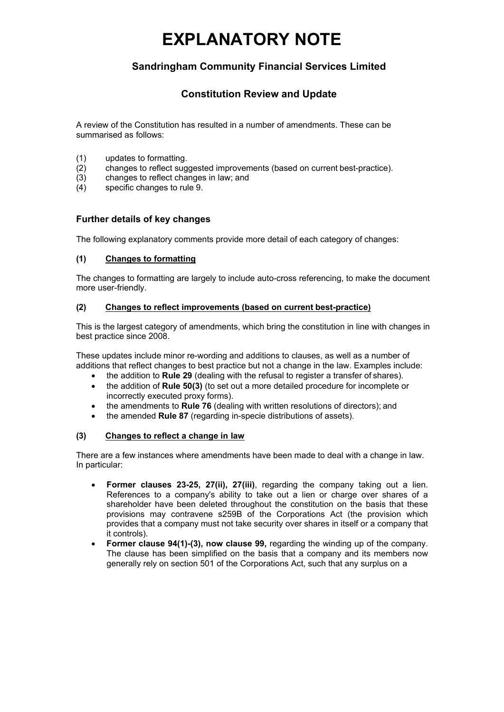# **EXPLANATORY NOTE**

## **Sandringham Community Financial Services Limited**

### **Constitution Review and Update**

A review of the Constitution has resulted in a number of amendments. These can be summarised as follows:

- (1) updates to formatting.
- (2) changes to reflect suggested improvements (based on current best-practice).
- (3) changes to reflect changes in law; and
- (4) specific changes to rule 9.

#### **Further details of key changes**

The following explanatory comments provide more detail of each category of changes:

#### **(1) Changes to formatting**

The changes to formatting are largely to include auto-cross referencing, to make the document more user-friendly.

#### **(2) Changes to reflect improvements (based on current best-practice)**

This is the largest category of amendments, which bring the constitution in line with changes in best practice since 2008.

These updates include minor re-wording and additions to clauses, as well as a number of additions that reflect changes to best practice but not a change in the law. Examples include:

- the addition to **Rule 29** (dealing with the refusal to register a transfer of shares).
- the addition of **Rule 50(3)** (to set out a more detailed procedure for incomplete or incorrectly executed proxy forms).
- the amendments to **Rule 76** (dealing with written resolutions of directors); and
- the amended **Rule 87** (regarding in-specie distributions of assets).

#### **(3) Changes to reflect a change in law**

There are a few instances where amendments have been made to deal with a change in law. In particular:

- **Former clauses 23-25, 27(ii), 27(iii)**, regarding the company taking out a lien. References to a company's ability to take out a lien or charge over shares of a shareholder have been deleted throughout the constitution on the basis that these provisions may contravene s259B of the Corporations Act (the provision which provides that a company must not take security over shares in itself or a company that it controls).
- **Former clause 94(1)-(3), now clause 99,** regarding the winding up of the company. The clause has been simplified on the basis that a company and its members now generally rely on section 501 of the Corporations Act, such that any surplus on a